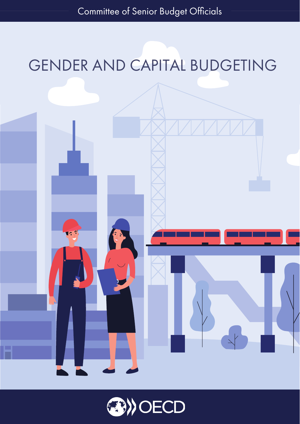## GENDER AND CAPITAL BUDGETING



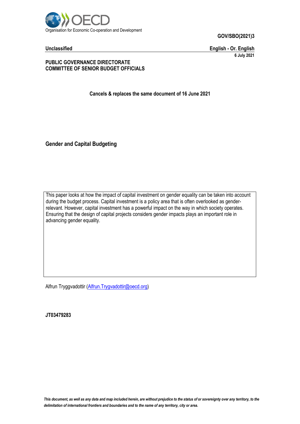

**Unclassified English - Or. English 6 July 2021**

#### **PUBLIC GOVERNANCE DIRECTORATE COMMITTEE OF SENIOR BUDGET OFFICIALS**

**Cancels & replaces the same document of 16 June 2021**

**Gender and Capital Budgeting**

This paper looks at how the impact of capital investment on gender equality can be taken into account during the budget process. Capital investment is a policy area that is often overlooked as genderrelevant. However, capital investment has a powerful impact on the way in which society operates. Ensuring that the design of capital projects considers gender impacts plays an important role in advancing gender equality.

Alfrun Tryggvadottir [\(Alfrun.Trygvadottir@oecd.org\)](mailto:Alfrun.Trygvadottir@oecd.org)

**JT03479283**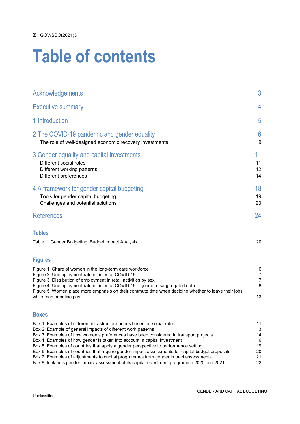## **Table of contents**

| Acknowledgements                                                                                                                                                                                                                                                                                                                                                                                                                                                                                         | 3                                   |
|----------------------------------------------------------------------------------------------------------------------------------------------------------------------------------------------------------------------------------------------------------------------------------------------------------------------------------------------------------------------------------------------------------------------------------------------------------------------------------------------------------|-------------------------------------|
| <b>Executive summary</b>                                                                                                                                                                                                                                                                                                                                                                                                                                                                                 | 4                                   |
| 1 Introduction                                                                                                                                                                                                                                                                                                                                                                                                                                                                                           | 5                                   |
| 2 The COVID-19 pandemic and gender equality<br>The role of well-designed economic recovery investments                                                                                                                                                                                                                                                                                                                                                                                                   | 6<br>9                              |
| 3 Gender equality and capital investments<br>Different social roles<br>Different working patterns<br>Different preferences                                                                                                                                                                                                                                                                                                                                                                               | 11<br>11<br>12<br>14                |
| 4 A framework for gender capital budgeting<br>Tools for gender capital budgeting<br>Challenges and potential solutions                                                                                                                                                                                                                                                                                                                                                                                   | 18<br>19<br>23                      |
| <b>References</b>                                                                                                                                                                                                                                                                                                                                                                                                                                                                                        | 24                                  |
| <b>Tables</b><br>Table 1. Gender Budgeting: Budget Impact Analysis                                                                                                                                                                                                                                                                                                                                                                                                                                       | 20                                  |
|                                                                                                                                                                                                                                                                                                                                                                                                                                                                                                          |                                     |
| <b>Figures</b><br>Figure 1. Share of women in the long-term care workforce<br>Figure 2. Unemployment rate in times of COVID-19<br>Figure 3. Distribution of employment in retail activities by sex<br>Figure 4. Unemployment rate in times of COVID-19 - gender disaggregated data<br>Figure 5. Women place more emphasis on their commute time when deciding whether to leave their jobs,<br>while men prioritise pay                                                                                   | 6<br>7<br>$\overline{7}$<br>8<br>13 |
| <b>Boxes</b>                                                                                                                                                                                                                                                                                                                                                                                                                                                                                             |                                     |
| Box 1. Examples of different infrastructure needs based on social roles<br>Box 2. Example of general impacts of different work patterns<br>Box 3. Examples of how women's preferences have been considered in transport projects<br>Box 4. Examples of how gender is taken into account in capital investment<br>Box 5. Examples of countries that apply a gender perspective to performance setting<br>Box 6. Examples of countries that require gender impact assessments for capital budget proposals | 11<br>13<br>14<br>16<br>19<br>20    |

Box [7. Examples of adjustments to capital programmes from gender impact assessments](#page-21-0) 21 Box [8. Iceland's gender impact assessment of its capital investment programme 2020 and](#page-22-0) 2021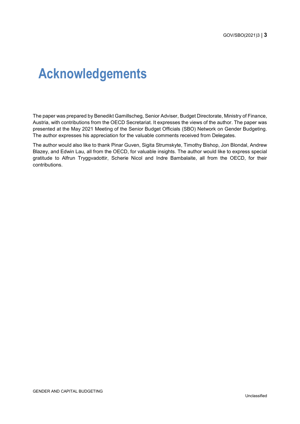### <span id="page-3-0"></span>**Acknowledgements**

The paper was prepared by Benedikt Gamillscheg, Senior Adviser, Budget Directorate, Ministry of Finance, Austria, with contributions from the OECD Secretariat. It expresses the views of the author. The paper was presented at the May 2021 Meeting of the Senior Budget Officials (SBO) Network on Gender Budgeting. The author expresses his appreciation for the valuable comments received from Delegates.

The author would also like to thank Pinar Guven, Sigita Strumskyte, Timothy Bishop, Jon Blondal, Andrew Blazey, and Edwin Lau, all from the OECD, for valuable insights. The author would like to express special gratitude to Alfrun Tryggvadottir, Scherie Nicol and Indre Bambalaite, all from the OECD, for their contributions.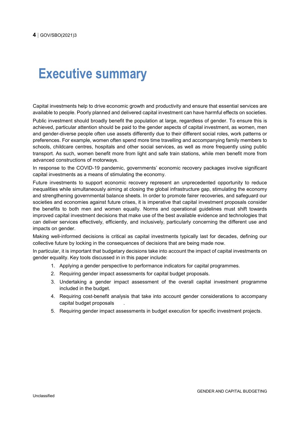### <span id="page-4-0"></span>**Executive summary**

Capital investments help to drive economic growth and productivity and ensure that essential services are available to people. Poorly planned and delivered capital investment can have harmful effects on societies.

Public investment should broadly benefit the population at large, regardless of gender. To ensure this is achieved, particular attention should be paid to the gender aspects of capital investment, as women, men and gender-diverse people often use assets differently due to their different social roles, work patterns or preferences. For example, women often spend more time travelling and accompanying family members to schools, childcare centres, hospitals and other social services, as well as more frequently using public transport. As such, women benefit more from light and safe train stations, while men benefit more from advanced constructions of motorways.

In response to the COVID-19 pandemic, governments' economic recovery packages involve significant capital investments as a means of stimulating the economy.

Future investments to support economic recovery represent an unprecedented opportunity to reduce inequalities while simultaneously aiming at closing the global infrastructure gap, stimulating the economy and strengthening governmental balance sheets. In order to promote fairer recoveries, and safeguard our societies and economies against future crises, it is imperative that capital investment proposals consider the benefits to both men and women equally. Norms and operational guidelines must shift towards improved capital investment decisions that make use of the best available evidence and technologies that can deliver services effectively, efficiently, and inclusively, particularly concerning the different use and impacts on gender.

Making well-informed decisions is critical as capital investments typically last for decades, defining our collective future by locking in the consequences of decisions that are being made now.

In particular, it is important that budgetary decisions take into account the impact of capital investments on gender equality. Key tools discussed in in this paper include:

- 1. Applying a gender perspective to performance indicators for capital programmes.
- 2. Requiring gender impact assessments for capital budget proposals.
- 3. Undertaking a gender impact assessment of the overall capital investment programme included in the budget.
- 4. Requiring cost-benefit analysis that take into account gender considerations to accompany capital budget proposals .
- 5. Requiring gender impact assessments in budget execution for specific investment projects.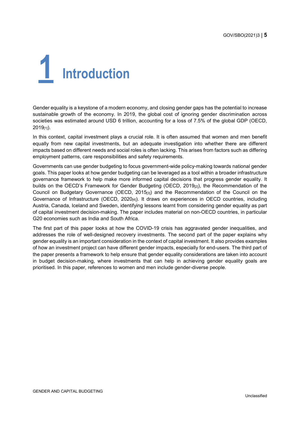<span id="page-5-0"></span>

Gender equality is a keystone of a modern economy, and closing gender gaps has the potential to increase sustainable growth of the economy. In 2019, the global cost of ignoring gender discrimination across societies was estimated around USD 6 trillion, accounting for a loss of 7.5% of the global GDP (OECD, 2019[1]).

In this context, capital investment plays a crucial role. It is often assumed that women and men benefit equally from new capital investments, but an adequate investigation into whether there are different impacts based on different needs and social roles is often lacking. This arises from factors such as differing employment patterns, care responsibilities and safety requirements.

Governments can use gender budgeting to focus government-wide policy-making towards national gender goals. This paper looks at how gender budgeting can be leveraged as a tool within a broader infrastructure governance framework to help make more informed capital decisions that progress gender equality. It builds on the OECD's Framework for Gender Budgeting (OECD,  $2019_{[2]}$ ), the Recommendation of the Council on Budgetary Governance (OECD, 2015[3]) and the Recommendation of the Council on the Governance of Infrastructure (OECD, 2020[4]). It draws on experiences in OECD countries, including Austria, Canada, Iceland and Sweden, identifying lessons learnt from considering gender equality as part of capital investment decision-making. The paper includes material on non-OECD countries, in particular G20 economies such as India and South Africa.

The first part of this paper looks at how the COVID-19 crisis has aggravated gender inequalities, and addresses the role of well-designed recovery investments. The second part of the paper explains why gender equality is an important consideration in the context of capital investment. It also provides examples of how an investment project can have different gender impacts, especially for end-users. The third part of the paper presents a framework to help ensure that gender equality considerations are taken into account in budget decision-making, where investments that can help in achieving gender equality goals are prioritised. In this paper, references to women and men include gender-diverse people.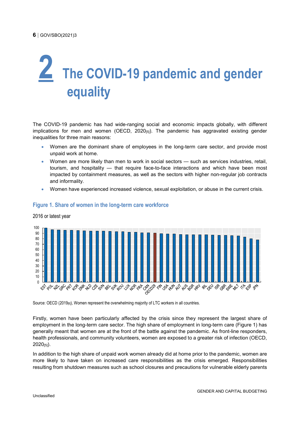# <span id="page-6-0"></span>**2 The COVID-19 pandemic and gender equality**

The COVID-19 pandemic has had wide-ranging social and economic impacts globally, with different implications for men and women (OECD,  $2020_{[5]}$ ). The pandemic has aggravated existing gender inequalities for three main reasons:

- Women are the dominant share of employees in the long-term care sector, and provide most unpaid work at home.
- Women are more likely than men to work in social sectors such as services industries, retail, tourism, and hospitality — that require face-to-face interactions and which have been most impacted by containment measures, as well as the sectors with higher non-regular job contracts and informality.
- Women have experienced increased violence, sexual exploitation, or abuse in the current crisis.



#### <span id="page-6-1"></span>**Figure 1. Share of women in the long-term care workforce**

2016 or latest year

Source: OECD (2019<sub>[6]</sub>), Women represent the overwhelming majority of LTC workers in all countries.

Firstly, women have been particularly affected by the crisis since they represent the largest share of employment in the long-term care sector. The high share of employment in long-term care [\(Figure](#page-6-1) 1) has generally meant that women are at the front of the battle against the pandemic. As front-line responders, health professionals, and community volunteers, women are exposed to a greater risk of infection (OECD, 2020[5]).

In addition to the high share of unpaid work women already did at home prior to the pandemic, women are more likely to have taken on increased care responsibilities as the crisis emerged. Responsibilities resulting from shutdown measures such as school closures and precautions for vulnerable elderly parents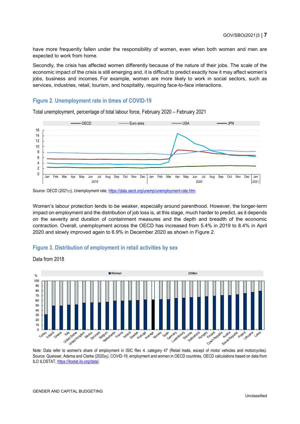have more frequently fallen under the responsibility of women, even when both women and men are expected to work from home.

Secondly, the crisis has affected women differently because of the nature of their jobs. The scale of the economic impact of the crisis is still emerging and, it is difficult to predict exactly how it may affect women's jobs, business and incomes. For example, women are more likely to work in social sectors, such as services, industries, retail, tourism, and hospitality, requiring face-to-face interactions.

#### <span id="page-7-0"></span>**Figure 2. Unemployment rate in times of COVID-19**

Total unemployment, percentage of total labour force, February 2020 – February 2021



Women's labour protection tends to be weaker, especially around parenthood. However, the longer-term impact on employment and the distribution of job loss is, at this stage, much harder to predict, as it depends on the severity and duration of containment measures and the depth and breadth of the economic contraction. Overall, unemployment across the OECD has increased from 5.4% in 2019 to 8.4% in April 2020 and slowly improved again to 6.9% in December 2020 as shown in [Figure](#page-7-0) 2.

#### <span id="page-7-1"></span>**Figure 3. Distribution of employment in retail activities by sex**



Data from 2018

Note: Data refer to women's share of employment in ISIC Rev 4. category 47 (Retail trade, except of motor vehicles and motorcycles). Source: Queisser, Adema and Clarke (2020[8]), COVID-19, employment and women in OECD countries, OECD calculations based on data from ILO ILOSTAT, [https://ilostat.ilo.org/data/.](https://ilostat.ilo.org/data/)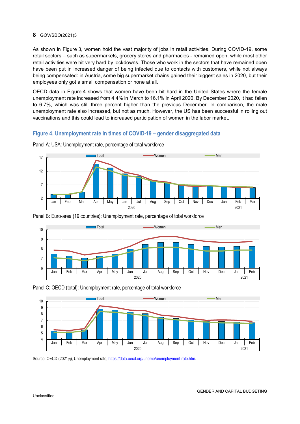As shown in [Figure](#page-7-1) 3, women hold the vast majority of jobs in retail activities. During COVID-19, some retail sectors – such as supermarkets, grocery stores and pharmacies - remained open, while most other retail activities were hit very hard by lockdowns. Those who work in the sectors that have remained open have been put in increased danger of being infected due to contacts with customers, while not always being compensated: in Austria, some big supermarket chains gained their biggest sales in 2020, but their employees only got a small compensation or none at all.

OECD data in [Figure](#page-8-0) 4 shows that women have been hit hard in the United States where the female unemployment rate increased from 4.4% in March to 16.1% in April 2020. By December 2020, it had fallen to 6.7%, which was still three percent higher than the previous December. In comparison, the male unemployment rate also increased, but not as much. However, the US has been successful in rolling out vaccinations and this could lead to increased participation of women in the labor market.

#### <span id="page-8-0"></span>**Figure 4. Unemployment rate in times of COVID-19 – gender disaggregated data**



Panel A: USA: Unemployment rate, percentage of total workforce







Source: OECD (2021<sub>[7]</sub>), Unemployment rate, https://data.oecd.org/unemp/unemployment-rate.htm.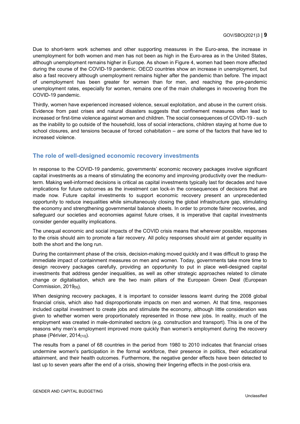Due to short-term work schemes and other supporting measures in the Euro-area, the increase in unemployment for both women and men has not been as high in the Euro-area as in the United States, although unemployment remains higher in Europe. As shown in [Figure](#page-8-0) 4, women had been more affected during the course of the COVID-19 pandemic. OECD countries show an increase in unemployment, but also a fast recovery although unemployment remains higher after the pandemic than before. The impact of unemployment has been greater for women than for men, and reaching the pre-pandemic unemployment rates, especially for women, remains one of the main challenges in recovering from the COVID-19 pandemic.

Thirdly, women have experienced increased violence, sexual exploitation, and abuse in the current crisis. Evidence from past crises and natural disasters suggests that confinement measures often lead to increased or first-time violence against women and children. The social consequences of COVID-19 - such as the inability to go outside of the household, loss of social interactions, children staying at home due to school closures, and tensions because of forced cohabitation – are some of the factors that have led to increased violence.

#### <span id="page-9-0"></span>**The role of well-designed economic recovery investments**

In response to the COVID-19 pandemic, governments' economic recovery packages involve significant capital investments as a means of stimulating the economy and improving productivity over the mediumterm. Making well-informed decisions is critical as capital investments typically last for decades and have implications for future outcomes as the investment can lock-in the consequences of decisions that are made now. Future capital investments to support economic recovery present an unprecedented opportunity to reduce inequalities while simultaneously closing the global infrastructure gap, stimulating the economy and strengthening governmental balance sheets. In order to promote fairer recoveries, and safeguard our societies and economies against future crises, it is imperative that capital investments consider gender equality implications.

The unequal economic and social impacts of the COVID crisis means that wherever possible, responses to the crisis should aim to promote a fair recovery. All policy responses should aim at gender equality in both the short and the long run.

During the containment phase of the crisis, decision-making moved quickly and it was difficult to grasp the immediate impact of containment measures on men and women. Today, governments take more time to design recovery packages carefully, providing an opportunity to put in place well-designed capital investments that address gender inequalities, as well as other strategic approaches related to climate change or digitalisation, which are the two main pillars of the European Green Deal (European Commission, 2019<sub>[9]</sub>).

When designing recovery packages, it is important to consider lessons learnt during the 2008 global financial crisis, which also had disproportionate impacts on men and women. At that time, responses included capital investment to create jobs and stimulate the economy, although little consideration was given to whether women were proportionately represented in those new jobs. In reality, much of the employment was created in male-dominated sectors (e.g. construction and transport). This is one of the reasons why men's employment improved more quickly than women's employment during the recovery phase (Périvier, 2014<sub>[10]</sub>).

The results from a panel of 68 countries in the period from 1980 to 2010 indicates that financial crises undermine women's participation in the formal workforce, their presence in politics, their educational attainment, and their health outcomes. Furthermore, the negative gender effects have been detected to last up to seven years after the end of a crisis, showing their lingering effects in the post-crisis era.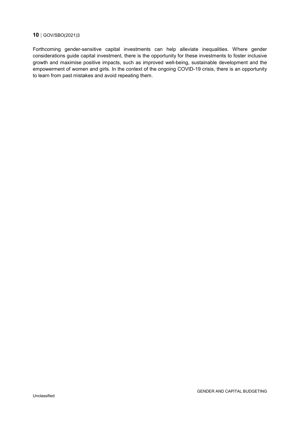Forthcoming gender-sensitive capital investments can help alleviate inequalities. Where gender considerations guide capital investment, there is the opportunity for these investments to foster inclusive growth and maximise positive impacts, such as improved well-being, sustainable development and the empowerment of women and girls. In the context of the ongoing COVID-19 crisis, there is an opportunity to learn from past mistakes and avoid repeating them.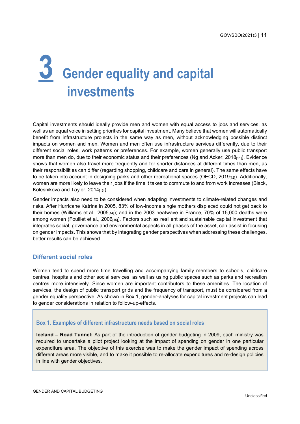# <span id="page-11-0"></span>**3 Gender equality and capital investments**

Capital investments should ideally provide men and women with equal access to jobs and services, as well as an equal voice in setting priorities for capital investment. Many believe that women will automatically benefit from infrastructure projects in the same way as men, without acknowledging possible distinct impacts on women and men. Women and men often use infrastructure services differently, due to their different social roles, work patterns or preferences. For example, women generally use public transport more than men do, due to their economic status and their preferences (Ng and Acker, 2018[11]). Evidence shows that women also travel more frequently and for shorter distances at different times than men, as their responsibilities can differ (regarding shopping, childcare and care in general). The same effects have to be taken into account in designing parks and other recreational spaces (OECD,  $2019_{[12]}$ ). Additionally, women are more likely to leave their jobs if the time it takes to commute to and from work increases (Black, Kolesnikova and Taylor, 2014[13]).

Gender impacts also need to be considered when adapting investments to climate-related changes and risks. After Hurricane Katrina in 2005, 83% of low-income single mothers displaced could not get back to their homes (Williams et al.,  $2005_{[14]}$ ); and in the 2003 heatwave in France, 70% of 15,000 deaths were among women (Fouillet et al., 2006<sub>[15]</sub>). Factors such as resilient and sustainable capital investment that integrates social, governance and environmental aspects in all phases of the asset, can assist in focusing on gender impacts. This shows that by integrating gender perspectives when addressing these challenges, better results can be achieved.

#### <span id="page-11-1"></span>**Different social roles**

Women tend to spend more time travelling and accompanying family members to schools, childcare centres, hospitals and other social services, as well as using public spaces such as parks and recreation centres more intensively. Since women are important contributors to these amenities. The location of services, the design of public transport grids and the frequency of transport, must be considered from a gender equality perspective. As shown in [Box](#page-11-2) 1, gender-analyses for capital investment projects can lead to gender considerations in relation to follow-up-effects.

#### <span id="page-11-2"></span>**Box 1. Examples of different infrastructure needs based on social roles**

**Iceland – Road Tunnel:** As part of the introduction of gender budgeting in 2009, each ministry was required to undertake a pilot project looking at the impact of spending on gender in one particular expenditure area. The objective of this exercise was to make the gender impact of spending across different areas more visible, and to make it possible to re-allocate expenditures and re-design policies in line with gender objectives.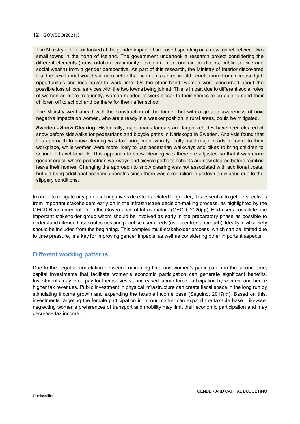The Ministry of Interior looked at the gender impact of proposed spending on a new tunnel between two small towns in the north of Iceland. The government undertook a research project considering the different elements (transportation, community development, economic conditions, public service and social wealth) from a gender perspective. As part of this research, the Ministry of Interior discovered that the new tunnel would suit men better than women, as men would benefit more from increased job opportunities and less travel to work time. On the other hand, women were concerned about the possible loss of local services with the two towns being joined. This is in part due to different social roles of women as more frequently, women needed to work closer to their homes to be able to send their children off to school and be there for them after school.

The Ministry went ahead with the construction of the tunnel, but with a greater awareness of how negative impacts on women, who are already in a weaker position in rural areas, could be mitigated.

**Sweden - Snow Clearing:** Historically, major roads for cars and larger vehicles have been cleared of snow before sidewalks for pedestrians and bicycle paths in Karlskoga in Sweden. Analysis found that this approach to snow clearing was favouring men, who typically used major roads to travel to their workplace, while women were more likely to use pedestrian walkways and bikes to bring children to school or travel to work. This approach to snow clearing was therefore adjusted so that it was more gender equal, where pedestrian walkways and bicycle paths to schools are now cleared before families leave their homes. Changing the approach to snow clearing was not associated with additional costs, but did bring additional economic benefits since there was a reduction in pedestrian injuries due to the slippery conditions.

In order to mitigate any potential negative side effects related to gender, it is essential to get perspectives from important stakeholders early on in the infrastructure decision-making process, as highlighted by the OECD Recommendation on the Governance of Infrastructure (OECD, 2020<sub>[16]</sub>). End-users constitute one important stakeholder group whom should be involved as early in the preparatory phase as possible to understand intended user outcomes and prioritise user needs (user-centred approach). Ideally, civil society should be included from the beginning. This complex multi-stakeholder process, which can be limited due to time pressure, is a key for improving gender impacts, as well as considering other important aspects.

#### <span id="page-12-0"></span>**Different working patterns**

Due to the negative correlation between commuting time and women's participation in the labour force, capital investments that facilitate women's economic participation can generate significant benefits. Investments may even pay for themselves via increased labour force participation by women, and hence higher tax revenues. Public investment in physical infrastructure can create fiscal space in the long run by stimulating income growth and expanding the taxable income base (Seguino,  $2017_{[17]}$ ). Based on this, investments targeting the female participation in labour market can expand the taxable base. Likewise, neglecting women's preferences of transport and mobility may limit their economic participation and may decrease tax income.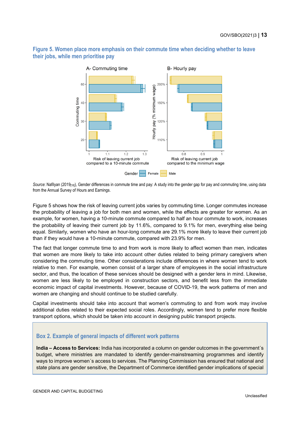#### **their jobs, while men prioritise pay** A- Commuting time B- Hourly pay  $60$ 200%

<span id="page-13-0"></span>**Figure 5. Women place more emphasis on their commute time when deciding whether to leave** 



Source: Nafilyan (2019<sub>[18]</sub>), Gender differences in commute time and pay: A study into the gender gap for pay and commuting time, using data from the Annual Survey of Hours and Earnings.

[Figure](#page-13-0) 5 shows how the risk of leaving current jobs varies by commuting time. Longer commutes increase the probability of leaving a job for both men and women, while the effects are greater for women. As an example, for women, having a 10-minute commute compared to half an hour commute to work, increases the probability of leaving their current job by 11.6%, compared to 9.1% for men, everything else being equal. Similarly, women who have an hour-long commute are 29.1% more likely to leave their current job than if they would have a 10-minute commute, compared with 23.9% for men.

The fact that longer commute time to and from work is more likely to affect women than men, indicates that women are more likely to take into account other duties related to being primary caregivers when considering the commuting time. Other considerations include differences in where women tend to work relative to men. For example, women consist of a larger share of employees in the social infrastructure sector, and thus, the location of these services should be designed with a gender lens in mind. Likewise, women are less likely to be employed in construction sectors, and benefit less from the immediate economic impact of capital investments. However, because of COVID-19, the work patterns of men and women are changing and should continue to be studied carefully.

Capital investments should take into account that women's commuting to and from work may involve additional duties related to their expected social roles. Accordingly, women tend to prefer more flexible transport options, which should be taken into account in designing public transport projects.

#### <span id="page-13-1"></span>**Box 2. Example of general impacts of different work patterns**

**India – Access to Services:** India has incorporated a column on gender outcomes in the government´s budget, where ministries are mandated to identify gender-mainstreaming programmes and identify ways to improve women´s access to services. The Planning Commission has ensured that national and state plans are gender sensitive, the Department of Commerce identified gender implications of special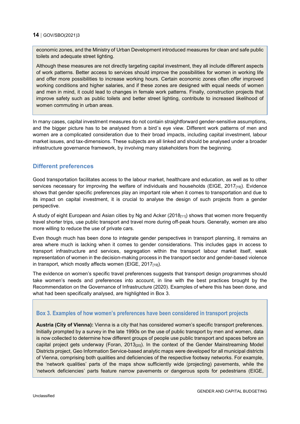economic zones, and the Ministry of Urban Development introduced measures for clean and safe public toilets and adequate street lighting.

Although these measures are not directly targeting capital investment, they all include different aspects of work patterns. Better access to services should improve the possibilities for women in working life and offer more possibilities to increase working hours. Certain economic zones often offer improved working conditions and higher salaries, and if these zones are designed with equal needs of women and men in mind, it could lead to changes in female work patterns. Finally, construction projects that improve safety such as public toilets and better street lighting, contribute to increased likelihood of women commuting in urban areas.

In many cases, capital investment measures do not contain straightforward gender-sensitive assumptions, and the bigger picture has to be analysed from a bird´s eye view. Different work patterns of men and women are a complicated consideration due to their broad impacts, including capital investment, labour market issues, and tax-dimensions. These subjects are all linked and should be analysed under a broader infrastructure governance framework, by involving many stakeholders from the beginning.

#### <span id="page-14-0"></span>**Different preferences**

Good transportation facilitates access to the labour market, healthcare and education, as well as to other services necessary for improving the welfare of individuals and households (EIGE, 2017 $_{[19]}$ ). Evidence shows that gender specific preferences play an important role when it comes to transportation and due to its impact on capital investment, it is crucial to analyse the design of such projects from a gender perspective.

A study of eight European and Asian cities by Ng and Acker ( $2018_{[11]}$ ) shows that women more frequently travel shorter trips, use public transport and travel more during off-peak hours. Generally, women are also more willing to reduce the use of private cars.

Even though much has been done to integrate gender perspectives in transport planning, it remains an area where much is lacking when it comes to gender considerations. This includes gaps in access to transport infrastructure and services, segregation within the transport labour market itself, weak representation of women in the decision-making process in the transport sector and gender-based violence in transport, which mostly affects women (EIGE,  $2017_{[19]}$ ).

The evidence on women's specific travel preferences suggests that transport design programmes should take women's needs and preferences into account, in line with the best practices brought by the Recommendation on the Governance of Infrastructure (2020). Examples of where this has been done, and what had been specifically analysed, are highlighted in [Box](#page-14-1) 3.

#### <span id="page-14-1"></span>**Box 3. Examples of how women's preferences have been considered in transport projects**

**Austria (City of Vienna):** Vienna is a city that has considered women's specific transport preferences. Initially prompted by a survey in the late 1990s on the use of public transport by men and women, data is now collected to determine how different groups of people use public transport and spaces before an capital project gets underway (Foran, 2013<sub>[20]</sub>). In the context of the Gender Mainstreaming Model Districts project, Geo Information Service-based analytic maps were developed for all municipal districts of Vienna, comprising both qualities and deficiencies of the respective footway networks. For example, the 'network qualities' parts of the maps show sufficiently wide (projecting) pavements, while the 'network deficiencies' parts feature narrow pavements or dangerous spots for pedestrians (EIGE,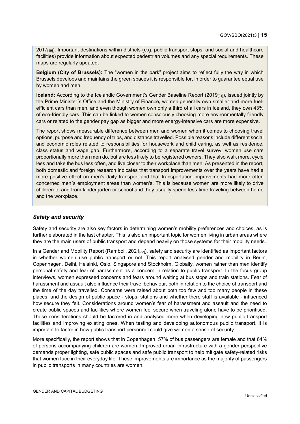2017<sub>[19]</sub>). Important destinations within districts (e.g. public transport stops, and social and healthcare facilities) provide information about expected pedestrian volumes and any special requirements. These maps are regularly updated.

**Belgium (City of Brussels):** The "women in the park" project aims to reflect fully the way in which Brussels develops and maintains the green spaces it is responsible for, in order to guarantee equal use by women and men.

**Iceland:** According to the Icelandic Government's Gender Baseline Report (2019<sub>[21]</sub>), issued jointly by the Prime Minister´s Office and the Ministry of Finance**,** women generally own smaller and more fuelefficient cars than men, and even though women own only a third of all cars in Iceland, they own 43% of eco-friendly cars. This can be linked to women consciously choosing more environmentally friendly cars or related to the gender pay gap as bigger and more energy-intensive cars are more expensive.

The report shows measurable difference between men and women when it comes to choosing travel options, purpose and frequency of trips, and distance travelled. Possible reasons include different social and economic roles related to responsibilities for housework and child caring, as well as residence, class status and wage gap. Furthermore, according to a separate travel survey, women use cars proportionally more than men do, but are less likely to be registered owners. They also walk more, cycle less and take the bus less often, and live closer to their workplace than men. As presented in the report, both domestic and foreign research indicates that transport improvements over the years have had a more positive effect on men's daily transport and that transportation improvements had more often concerned men´s employment areas than women's. This is because women are more likely to drive children to and from kindergarten or school and they usually spend less time traveling between home and the workplace.

#### *Safety and security*

Safety and security are also key factors in determining women's mobility preferences and choices, as is further elaborated in the last chapter. This is also an important topic for women living in urban areas where they are the main users of public transport and depend heavily on those systems for their mobility needs.

In a Gender and Mobility Report (Ramboll,  $2021_{[22]}$ ), safety and security are identified as important factors in whether women use public transport or not. This report analysed gender and mobility in Berlin, Copenhagen, Delhi, Helsinki, Oslo, Singapore and Stockholm. Globally, women rather than men identify personal safety and fear of harassment as a concern in relation to public transport. In the focus group interviews, women expressed concerns and fears around waiting at bus stops and train stations. Fear of harassment and assault also influence their travel behaviour, both in relation to the choice of transport and the time of the day travelled. Concerns were raised about both too few and too many people in these places, and the design of public space - stops, stations and whether there staff is available - influenced how secure they felt. Considerations around women's fear of harassment and assault and the need to create public spaces and facilities where women feel secure when traveling alone have to be prioritised. These considerations should be factored in and analysed more when developing new public transport facilities and improving existing ones. When testing and developing autonomous public transport, it is important to factor in how public transport personnel could give women a sense of security.

More specifically, the report shows that in Copenhagen, 57% of bus passengers are female and that 64% of persons accompanying children are women. Improved urban infrastructure with a gender perspective demands proper lighting, safe public spaces and safe public transport to help mitigate safety-related risks that women face in their everyday life. These improvements are importance as the majority of passengers in public transports in many countries are women.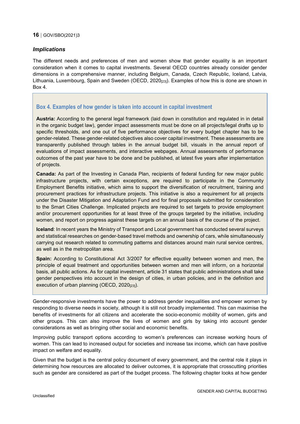#### *Implications*

The different needs and preferences of men and women show that gender equality is an important consideration when it comes to capital investments. Several OECD countries already consider gender dimensions in a comprehensive manner, including Belgium, Canada, Czech Republic, Iceland, Latvia, Lithuania, Luxembourg, Spain and Sweden (OECD, 2020<sub>[23]</sub>). Examples of how this is done are shown in [Box](#page-16-0) 4.

#### <span id="page-16-0"></span>**Box 4. Examples of how gender is taken into account in capital investment**

**Austria:** According to the general legal framework (laid down in constitution and regulated in in detail in the organic budget law), gender impact assessments must be done on all projects/legal drafts up to specific thresholds, and one out of five performance objectives for every budget chapter has to be gender-related. These gender-related objectives also cover capital investment. These assessments are transparently published through tables in the annual budget bill, visuals in the annual report of evaluations of impact assessments, and interactive webpages. Annual assessments of performance outcomes of the past year have to be done and be published, at latest five years after implementation of projects.

**Canada:** As part of the Investing in Canada Plan, recipients of federal funding for new major public infrastructure projects, with certain exceptions, are required to participate in the Community Employment Benefits initiative, which aims to support the diversification of recruitment, training and procurement practices for infrastructure projects. This initiative is also a requirement for all projects under the Disaster Mitigation and Adaptation Fund and for final proposals submitted for consideration to the Smart Cities Challenge. Implicated projects are required to set targets to provide employment and/or procurement opportunities for at least three of the groups targeted by the initiative, including women, and report on progress against these targets on an annual basis of the course of the project.

**Iceland**: In recent years the Ministry of Transport and Local government has conducted several surveys and statistical researches on gender-based travel methods and ownership of cars, while simultaneously carrying out research related to commuting patterns and distances around main rural service centres, as well as in the metropolitan area.

**Spain:** According to Constitutional Act 3/2007 for effective equality between women and men, the principle of equal treatment and opportunities between women and men will inform, on a horizontal basis, all public actions. As for capital investment, article 31 states that public administrations shall take gender perspectives into account in the design of cities, in urban policies, and in the definition and execution of urban planning (OECD, 2020<sup>[23]</sup>).

Gender-responsive investments have the power to address gender inequalities and empower women by responding to diverse needs in society, although it is still not broadly implemented. This can maximise the benefits of investments for all citizens and accelerate the socio-economic mobility of women, girls and other groups. This can also improve the lives of women and girls by taking into account gender considerations as well as bringing other social and economic benefits.

Improving public transport options according to women's preferences can increase working hours of women. This can lead to increased output for societies and increase tax income, which can have positive impact on welfare and equality.

Given that the budget is the central policy document of every government, and the central role it plays in determining how resources are allocated to deliver outcomes, it is appropriate that crosscutting priorities such as gender are considered as part of the budget process. The following chapter looks at how gender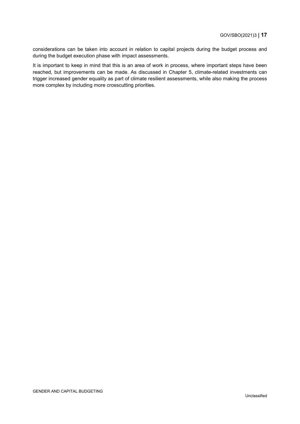considerations can be taken into account in relation to capital projects during the budget process and during the budget execution phase with impact assessments.

It is important to keep in mind that this is an area of work in process, where important steps have been reached, but improvements can be made. As discussed in Chapter 5, climate-related investments can trigger increased gender equality as part of climate resilient assessments, while also making the process more complex by including more crosscutting priorities.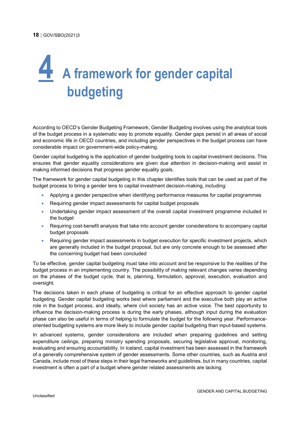# <span id="page-18-0"></span>**4 A framework for gender capital budgeting**

According to OECD's Gender Budgeting Framework, Gender Budgeting involves using the analytical tools of the budget process in a systematic way to promote equality. Gender gaps persist in all areas of social and economic life in OECD countries, and including gender perspectives in the budget process can have considerable impact on government-wide policy-making.

Gender capital budgeting is the application of gender budgeting tools to capital investment decisions. This ensures that gender equality considerations are given due attention in decision-making and assist in making informed decisions that progress gender equality goals.

The framework for gender capital budgeting in this chapter identifies tools that can be used as part of the budget process to bring a gender lens to capital investment decision-making, including:

- Applying a gender perspective when identifying performance measures for capital programmes
- Requiring gender impact assessments for capital budget proposals
- Undertaking gender impact assessment of the overall capital investment programme included in the budget
- Requiring cost-benefit analysis that take into account gender considerations to accompany capital budget proposals
- Requiring gender impact assessments in budget execution for specific investment projects, which are generally included in the budget proposal, but are only concrete enough to be assessed after the concerning budget had been concluded

To be effective, gender capital budgeting must take into account and be responsive to the realities of the budget process in an implementing country. The possibility of making relevant changes varies depending on the phases of the budget cycle, that is, planning, formulation, approval, execution, evaluation and oversight.

The decisions taken in each phase of budgeting is critical for an effective approach to gender capital budgeting. Gender capital budgeting works best where parliament and the executive both play an active role in the budget process, and ideally, where civil society has an active voice. The best opportunity to influence the decision-making process is during the early phases, although input during the evaluation phase can also be useful in terms of helping to formulate the budget for the following year. Performanceoriented budgeting systems are more likely to include gender capital budgeting than input-based systems.

In advanced systems, gender considerations are included when preparing guidelines and setting expenditure ceilings, preparing ministry spending proposals, securing legislative approval, monitoring, evaluating and ensuring accountability. In Iceland, capital investment has been assessed in the framework of a generally comprehensive system of gender assessments. Some other countries, such as Austria and Canada, include most of these steps in their legal frameworks and guidelines, but in many countries, capital investment is often a part of a budget where gender related assessments are lacking.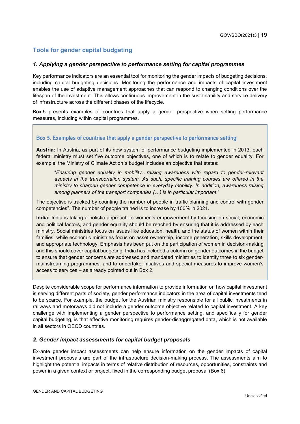#### <span id="page-19-0"></span>**Tools for gender capital budgeting**

#### *1. Applying a gender perspective to performance setting for capital programmes*

Key performance indicators are an essential tool for monitoring the gender impacts of budgeting decisions, including capital budgeting decisions. Monitoring the performance and impacts of capital investment enables the use of adaptive management approaches that can respond to changing conditions over the lifespan of the investment. This allows continuous improvement in the sustainability and service delivery of infrastructure across the different phases of the lifecycle.

[Box](#page-19-1) 5 presents examples of countries that apply a gender perspective when setting performance measures, including within capital programmes.

#### <span id="page-19-1"></span>**Box 5. Examples of countries that apply a gender perspective to performance setting**

**Austria:** In Austria, as part of its new system of performance budgeting implemented in 2013, each federal ministry must set five outcome objectives, one of which is to relate to gender equality. For example, the Ministry of Climate Action´s budget includes an objective that states:

"*Ensuring gender equality in mobility…raising awareness with regard to gender-relevant aspects in the transportation system. As such, specific training courses are offered in the ministry to sharpen gender competence in everyday mobility. In addition, awareness raising among planners of the transport companies (…) is in particular important*."

The objective is tracked by counting the number of people in traffic planning and control with gender competencies". The number of people trained is to increase by 100% in 2021.

**India:** India is taking a holistic approach to women's empowerment by focusing on social, economic and political factors, and gender equality should be reached by ensuring that it is addressed by each ministry. Social ministries focus on issues like education, health, and the status of women within their families, while economic ministries focus on asset ownership, income generation, skills development, and appropriate technology. Emphasis has been put on the participation of women in decision-making and this should cover capital budgeting. India has included a column on gender outcomes in the budget to ensure that gender concerns are addressed and mandated ministries to identify three to six gendermainstreaming programmes, and to undertake initiatives and special measures to improve women's access to services – as already pointed out in [Box](#page-13-1) 2.

Despite considerable scope for performance information to provide information on how capital investment is serving different parts of society, gender performance indicators in the area of capital investments tend to be scarce. For example, the budget for the Austrian ministry responsible for all public investments in railways and motorways did not include a gender outcome objective related to capital investment. A key challenge with implementing a gender perspective to performance setting, and specifically for gender capital budgeting, is that effective monitoring requires gender-disaggregated data, which is not available in all sectors in OECD countries.

#### *2. Gender impact assessments for capital budget proposals*

Ex-ante gender impact assessments can help ensure information on the gender impacts of capital investment proposals are part of the infrastructure decision-making process. The assessments aim to highlight the potential impacts in terms of relative distribution of resources, opportunities, constraints and power in a given context or project, fixed in the corresponding budget proposal [\(Box](#page-20-1) 6).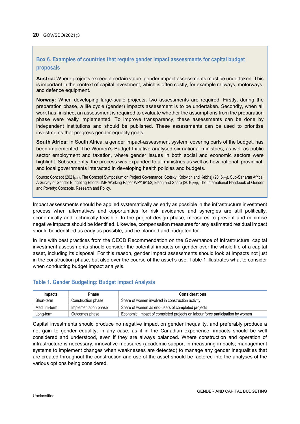#### <span id="page-20-1"></span>**Box 6. Examples of countries that require gender impact assessments for capital budget proposals**

**Austria:** Where projects exceed a certain value, gender impact assessments must be undertaken. This is important in the context of capital investment, which is often costly, for example railways, motorways, and defence equipment.

**Norway:** When developing large-scale projects, two assessments are required. Firstly, during the preparation phase, a life cycle (gender) impacts assessment is to be undertaken. Secondly, when all work has finished, an assessment is required to evaluate whether the assumptions from the preparation phase were really implemented. To improve transparency, these assessments can be done by independent institutions and should be published. These assessments can be used to prioritise investments that progress gender equality goals.

**South Africa:** In South Africa, a gender impact-assessment system, covering parts of the budget, has been implemented. The Women's Budget Initiative analysed six national ministries, as well as public sector employment and taxation, where gender issues in both social and economic sectors were highlight. Subsequently, the process was expanded to all ministries as well as how national, provincial, and local governments interacted in developing health policies and budgets.

Source: Concept (2021<sub>[24]</sub>), The Concept Symposium on Project Governance: Stotsky, Kolovich and Kebhai (2016<sub>[25]</sub>), Sub-Saharan Africa: A Survey of Gender Budgeting Efforts, IMF Working Paper WP/16/152; Elson and Sharp (2010<sub>[26]</sub>), The International Handbook of Gender and Poverty: Concepts, Research and Policy.

Impact assessments should be applied systematically as early as possible in the infrastructure investment process when alternatives and opportunities for risk avoidance and synergies are still politically, economically and technically feasible. In the project design phase, measures to prevent and minimise negative impacts should be identified. Likewise, compensation measures for any estimated residual impact should be identified as early as possible, and be planned and budgeted for.

In line with best practices from the OECD Recommendation on the Governance of Infrastructure, capital investment assessments should consider the potential impacts on gender over the whole life of a capital asset, including its disposal. For this reason, gender impact assessments should look at impacts not just in the construction phase, but also over the course of the asset's use. [Table](#page-20-0) 1 illustrates what to consider when conducting budget impact analysis.

#### <span id="page-20-0"></span>**Table 1. Gender Budgeting: Budget Impact Analysis**

| Impacts     | Phase                | <b>Considerations</b>                                                         |
|-------------|----------------------|-------------------------------------------------------------------------------|
| Short-term  | Construction phase   | Share of women involved in construction activity                              |
| Medium-term | Implementation phase | Share of women as end-users of completed projects                             |
| Long-term   | Outcomes phase       | Economic: Impact of completed projects on labour force participation by women |

Capital investments should produce no negative impact on gender inequality, and preferably produce a net gain to gender equality; in any case, as it in the Canadian experience, impacts should be well considered and understood, even if they are always balanced. Where construction and operation of infrastructure is necessary, innovative measures (academic support in measuring impacts; management systems to implement changes when weaknesses are detected) to manage any gender inequalities that are created throughout the construction and use of the asset should be factored into the analyses of the various options being considered.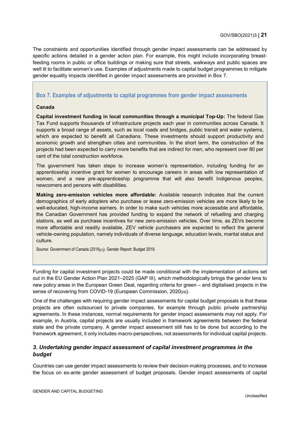The constraints and opportunities identified through gender impact assessments can be addressed by specific actions detailed in a gender action plan. For example, this might include incorporating breastfeeding rooms in public or office buildings or making sure that streets, walkways and public spaces are well lit to facilitate women's use. Examples of adjustments made to capital budget programmes to mitigate gender equality impacts identified in gender impact assessments are provided in [Box](#page-21-0) 7.

#### <span id="page-21-0"></span>**Box 7. Examples of adjustments to capital programmes from gender impact assessments**

#### **Canada**

**Capital investment funding in local communities through a municipal Top-Up:** The federal Gas Tax Fund supports thousands of infrastructure projects each year in communities across Canada. It supports a broad range of assets, such as local roads and bridges, public transit and water systems, which are expected to benefit all Canadians. These investments should support productivity and economic growth and strengthen cities and communities. In the short term, the construction of the projects had been expected to carry more benefits that are indirect for men, who represent over 80 per cent of the total construction workforce.

The government has taken steps to increase women's representation, including funding for an apprenticeship incentive grant for women to encourage careers in areas with low representation of women, and a new pre-apprenticeship programme that will also benefit Indigenous peoples, newcomers and persons with disabilities.

**Making zero-emission vehicles more affordable:** Available research indicates that the current demographics of early adopters who purchase or lease zero-emission vehicles are more likely to be well-educated, high-income earners. In order to make such vehicles more accessible and affordable, the Canadian Government has provided funding to expand the network of refuelling and charging stations, as well as purchase incentives for new zero-emission vehicles. Over time, as ZEVs become more affordable and readily available, ZEV vehicle purchasers are expected to reflect the general vehicle-owning population, namely individuals of diverse language, education levels, marital status and culture.

Source: Government of Canada (2019<sub>[27]</sub>). Gender Report: Budget 2019.

Funding for capital investment projects could be made conditional with the implementation of actions set out in the EU Gender Action Plan 2021–2025 (GAP III), which methodologically brings the gender lens to new policy areas in the European Green Deal, regarding criteria for green – and digitalised projects in the sense of recovering from COVID-19 (European Commission, 2020<sub>[28]</sub>).

One of the challenges with requiring gender impact assessments for capital budget proposals is that these projects are often outsourced to private companies, for example through public private partnership agreements. In these instances, normal requirements for gender impact assessments may not apply. For example, in Austria, capital projects are usually included in framework agreements between the federal state and the private company. A gender impact assessment still has to be done but according to the framework agreement, it only includes macro-perspectives, not assessments for individual capital projects.

#### *3. Undertaking gender impact assessment of capital investment programmes in the budget*

Countries can use gender impact assessments to review their decision-making processes, and to increase the focus on ex-ante gender assessment of budget proposals. Gender impact assessments of capital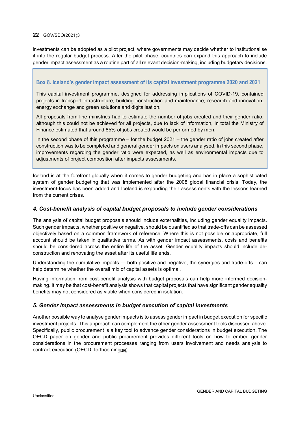investments can be adopted as a pilot project, where governments may decide whether to institutionalise it into the regular budget process. After the pilot phase, countries can expand this approach to include gender impact assessment as a routine part of all relevant decision-making, including budgetary decisions.

#### <span id="page-22-0"></span>**Box 8. Iceland's gender impact assessment of its capital investment programme 2020 and 2021**

This capital investment programme, designed for addressing implications of COVID-19, contained projects in transport infrastructure, building construction and maintenance, research and innovation, energy exchange and green solutions and digitalisation.

All proposals from line ministries had to estimate the number of jobs created and their gender ratio, although this could not be achieved for all projects, due to lack of information, In total the Ministry of Finance estimated that around 85% of jobs created would be performed by men.

In the second phase of this programme – for the budget 2021 – the gender ratio of jobs created after construction was to be completed and general gender impacts on users analysed. In this second phase, improvements regarding the gender ratio were expected, as well as environmental impacts due to adjustments of project composition after impacts assessments.

Iceland is at the forefront globally when it comes to gender budgeting and has in place a sophisticated system of gender budgeting that was implemented after the 2008 global financial crisis. Today, the investment-focus has been added and Iceland is expanding their assessments with the lessons learned from the current crises.

#### *4. Cost-benefit analysis of capital budget proposals to include gender considerations*

The analysis of capital budget proposals should include externalities, including gender equality impacts. Such gender impacts, whether positive or negative, should be quantified so that trade-offs can be assessed objectively based on a common framework of reference. Where this is not possible or appropriate, full account should be taken in qualitative terms. As with gender impact assessments, costs and benefits should be considered across the entire life of the asset. Gender equality impacts should include deconstruction and renovating the asset after its useful life ends.

Understanding the cumulative impacts — both positive and negative, the synergies and trade-offs – can help determine whether the overall mix of capital assets is optimal.

Having information from cost-benefit analysis with budget proposals can help more informed decisionmaking. It may be that cost-benefit analysis shows that capital projects that have significant gender equality benefits may not considered as viable when considered in isolation.

#### *5. Gender impact assessments in budget execution of capital investments*

Another possible way to analyse gender impacts is to assess gender impact in budget execution for specific investment projects. This approach can complement the other gender assessment tools discussed above. Specifically, public procurement is a key tool to advance gender considerations in budget execution. The OECD paper on gender and public procurement provides different tools on how to embed gender considerations in the procurement processes ranging from users involvement and needs analysis to contract execution (OECD, forthcoming<sub>[29]</sub>).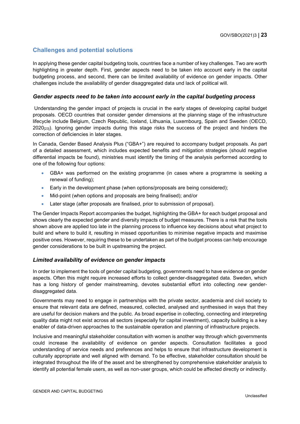#### <span id="page-23-0"></span>**Challenges and potential solutions**

In applying these gender capital budgeting tools, countries face a number of key challenges. Two are worth highlighting in greater depth. First, gender aspects need to be taken into account early in the capital budgeting process, and second, there can be limited availability of evidence on gender impacts. Other challenges include the availability of gender disaggregated data und lack of political will.

#### *Gender aspects need to be taken into account early in the capital budgeting process*

Understanding the gender impact of projects is crucial in the early stages of developing capital budget proposals. OECD countries that consider gender dimensions at the planning stage of the infrastructure lifecycle include Belgium, Czech Republic, Iceland, Lithuania, Luxembourg, Spain and Sweden (OECD, 2020<sub>[23]</sub>). Ignoring gender impacts during this stage risks the success of the project and hinders the correction of deficiencies in later stages.

In Canada, Gender Based Analysis Plus ("GBA+") are required to accompany budget proposals. As part of a detailed assessment, which includes expected benefits and mitigation strategies (should negative differential impacts be found), ministries must identify the timing of the analysis performed according to one of the following four options:

- GBA+ was performed on the existing programme (in cases where a programme is seeking a renewal of funding);
- Early in the development phase (when options/proposals are being considered);
- Mid-point (when options and proposals are being finalised); and/or
- Later stage (after proposals are finalised, prior to submission of proposal).

The Gender Impacts Report accompanies the budget, highlighting the GBA+ for each budget proposal and shows clearly the expected gender and diversity impacts of budget measures. There is a risk that the tools shown above are applied too late in the planning process to influence key decisions about what project to build and where to build it, resulting in missed opportunities to minimise negative impacts and maximise positive ones. However, requiring these to be undertaken as part of the budget process can help encourage gender considerations to be built in upstreaming the project.

#### *Limited availability of evidence on gender impacts*

In order to implement the tools of gender capital budgeting, governments need to have evidence on gender aspects. Often this might require increased efforts to collect gender-disaggregated data. Sweden, which has a long history of gender mainstreaming, devotes substantial effort into collecting *new* genderdisaggregated data.

Governments may need to engage in partnerships with the private sector, academia and civil society to ensure that relevant data are defined, measured, collected, analysed and synthesised in ways that they are useful for decision makers and the public. As broad expertise in collecting, connecting and interpreting quality data might not exist across all sectors (especially for capital investment), capacity building is a key enabler of data-driven approaches to the sustainable operation and planning of infrastructure projects.

Inclusive and meaningful stakeholder consultation with women is another way through which governments could increase the availability of evidence on gender aspects. Consultation facilitates a good understanding of service needs and preferences and helps to ensure that infrastructure development is culturally appropriate and well aligned with demand. To be effective, stakeholder consultation should be integrated throughout the life of the asset and be strengthened by comprehensive stakeholder analysis to identify all potential female users, as well as non-user groups, which could be affected directly or indirectly.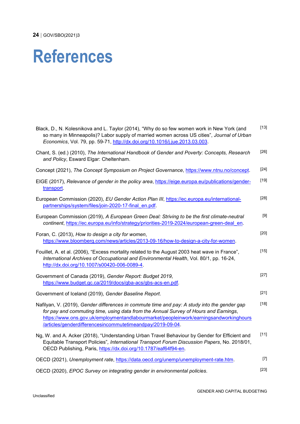## <span id="page-24-0"></span>**References**

| Black, D., N. Kolesnikova and L. Taylor (2014), "Why do so few women work in New York (and<br>so many in Minneapolis)? Labor supply of married women across US cities", Journal of Urban<br>Economics, Vol. 79, pp. 59-71, http://dx.doi.org/10.1016/j.jue.2013.03.003.                                                                     | $[13]$ |
|---------------------------------------------------------------------------------------------------------------------------------------------------------------------------------------------------------------------------------------------------------------------------------------------------------------------------------------------|--------|
| Chant, S. (ed.) (2010), The International Handbook of Gender and Poverty: Concepts, Research<br>and Policy, Esward Elgar: Cheltenham.                                                                                                                                                                                                       | $[26]$ |
| Concept (2021), The Concept Symposium on Project Governance, https://www.ntnu.no/concept.                                                                                                                                                                                                                                                   | $[24]$ |
| EIGE (2017), Relevance of gender in the policy area, https://eige.europa.eu/publications/gender-<br>transport.                                                                                                                                                                                                                              | $[19]$ |
| European Commission (2020), EU Gender Action Plan III, https://ec.europa.eu/international-<br>partnerships/system/files/join-2020-17-final en.pdf.                                                                                                                                                                                          | $[28]$ |
| European Commission (2019), A European Green Deal: Striving to be the first climate-neutral<br>continent, https://ec.europa.eu/info/strategy/priorities-2019-2024/european-green-deal en.                                                                                                                                                   |        |
| Foran, C. (2013), How to design a city for women,<br>https://www.bloomberg.com/news/articles/2013-09-16/how-to-design-a-city-for-women.                                                                                                                                                                                                     | $[20]$ |
| Fouillet, A. et al. (2006), "Excess mortality related to the August 2003 heat wave in France",<br>International Archives of Occupational and Environmental Health, Vol. 80/1, pp. 16-24,<br>http://dx.doi.org/10.1007/s00420-006-0089-4.                                                                                                    | $[15]$ |
| Government of Canada (2019), Gender Report: Budget 2019,<br>https://www.budget.gc.ca/2019/docs/gba-acs/gbs-acs-en.pdf.                                                                                                                                                                                                                      | $[27]$ |
| Government of Iceland (2019), Gender Baseline Report.                                                                                                                                                                                                                                                                                       | $[21]$ |
| Nafilyan, V. (2019), Gender differences in commute time and pay: A study into the gender gap<br>for pay and commuting time, using data from the Annual Survey of Hours and Earnings,<br>https://www.ons.gov.uk/employmentandlabourmarket/peopleinwork/earningsandworkinghours<br>/articles/genderdifferencesincommutetimeandpay/2019-09-04. | $[18]$ |
| Ng, W. and A. Acker (2018), "Understanding Urban Travel Behaviour by Gender for Efficient and<br>Equitable Transport Policies", International Transport Forum Discussion Papers, No. 2018/01,<br>OECD Publishing, Paris, https://dx.doi.org/10.1787/eaf64f94-en.                                                                            | $[11]$ |
| OECD (2021), Unemployment rate, https://data.oecd.org/unemp/unemployment-rate.htm.                                                                                                                                                                                                                                                          | $[7]$  |
| OECD (2020), EPOC Survey on integrating gender in environmental policies.                                                                                                                                                                                                                                                                   | $[23]$ |